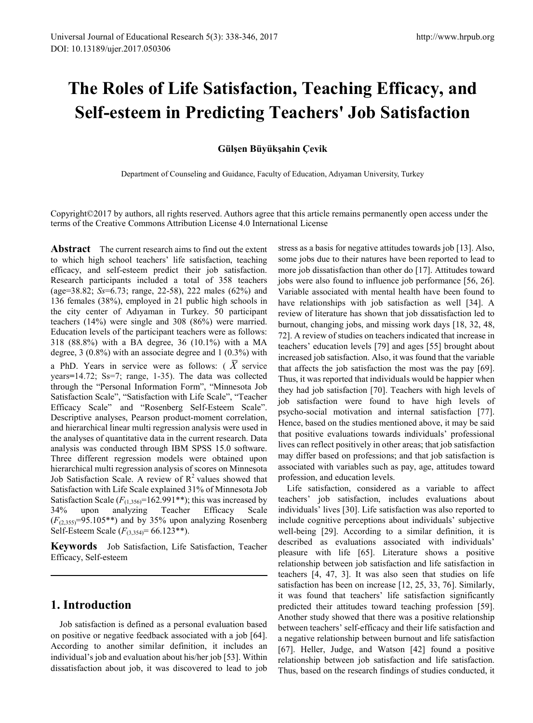# **The Roles of Life Satisfaction, Teaching Efficacy, and Self-esteem in Predicting Teachers' Job Satisfaction**

## **Gülşen Büyükşahin Çevik**

Department of Counseling and Guidance, Faculty of Education, Adıyaman University, Turkey

Copyright©2017 by authors, all rights reserved. Authors agree that this article remains permanently open access under the terms of the Creative Commons Attribution License 4.0 International License

**Abstract** The current research aims to find out the extent to which high school teachers' life satisfaction, teaching efficacy, and self-esteem predict their job satisfaction. Research participants included a total of 358 teachers (age=38.82; *Ss*=6.73; range, 22-58), 222 males (62%) and 136 females (38%), employed in 21 public high schools in the city center of Adıyaman in Turkey. 50 participant teachers (14%) were single and 308 (86%) were married. Education levels of the participant teachers were as follows: 318 (88.8%) with a BA degree, 36 (10.1%) with a MA degree, 3 (0.8%) with an associate degree and 1 (0.3%) with a PhD. Years in service were as follows: ( *X* service years**=**14.72; Ss=7; range, 1-35). The data was collected through the "Personal Information Form", "Minnesota Job Satisfaction Scale", "Satisfaction with Life Scale", "Teacher Efficacy Scale" and "Rosenberg Self-Esteem Scale". Descriptive analyses, Pearson product-moment correlation, and hierarchical linear multi regression analysis were used in the analyses of quantitative data in the current research. Data analysis was conducted through IBM SPSS 15.0 software. Three different regression models were obtained upon hierarchical multi regression analysis of scores on Minnesota Job Satisfaction Scale. A review of  $\mathbb{R}^2$  values showed that Satisfaction with Life Scale explained 31% of Minnesota Job Satisfaction Scale  $(F_{(1,356)}=162.991**)$ ; this was increased by 34% upon analyzing Teacher Efficacy Scale  $(F<sub>(2,355)</sub>=95.105**)$  and by 35% upon analyzing Rosenberg Self-Esteem Scale (*F*(3,354)= 66.123\*\*).

**Keywords** Job Satisfaction, Life Satisfaction, Teacher Efficacy, Self-esteem

# **1. Introduction**

Job satisfaction is defined as a personal evaluation based on positive or negative feedback associated with a job [64]. According to another similar definition, it includes an individual's job and evaluation about his/her job [53]. Within dissatisfaction about job, it was discovered to lead to job stress as a basis for negative attitudes towards job [13]. Also, some jobs due to their natures have been reported to lead to more job dissatisfaction than other do [17]. Attitudes toward jobs were also found to influence job performance [56, 26]. Variable associated with mental health have been found to have relationships with job satisfaction as well [34]. A review of literature has shown that job dissatisfaction led to burnout, changing jobs, and missing work days [18, 32, 48, 72]. A review of studies on teachers indicated that increase in teachers' education levels [79] and ages [55] brought about increased job satisfaction. Also, it was found that the variable that affects the job satisfaction the most was the pay [69]. Thus, it was reported that individuals would be happier when they had job satisfaction [70]. Teachers with high levels of job satisfaction were found to have high levels of psycho-social motivation and internal satisfaction [77]. Hence, based on the studies mentioned above, it may be said that positive evaluations towards individuals' professional lives can reflect positively in other areas; that job satisfaction may differ based on professions; and that job satisfaction is associated with variables such as pay, age, attitudes toward profession, and education levels.

Life satisfaction, considered as a variable to affect teachers' job satisfaction, includes evaluations about individuals' lives [30]. Life satisfaction was also reported to include cognitive perceptions about individuals' subjective well-being [29]. According to a similar definition, it is described as evaluations associated with individuals' pleasure with life [65]. Literature shows a positive relationship between job satisfaction and life satisfaction in teachers [4, 47, 3]. It was also seen that studies on life satisfaction has been on increase [12, 25, 33, 76]. Similarly, it was found that teachers' life satisfaction significantly predicted their attitudes toward teaching profession [59]. Another study showed that there was a positive relationship between teachers' self-efficacy and their life satisfaction and a negative relationship between burnout and life satisfaction [67]. Heller, Judge, and Watson [42] found a positive relationship between job satisfaction and life satisfaction. Thus, based on the research findings of studies conducted, it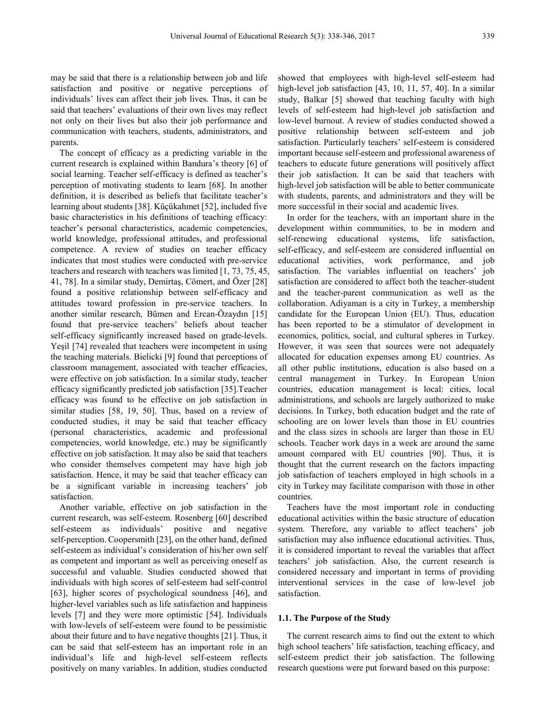may be said that there is a relationship between job and life satisfaction and positive or negative perceptions of individuals' lives can affect their job lives. Thus, it can be said that teachers' evaluations of their own lives may reflect not only on their lives but also their job performance and communication with teachers, students, administrators, and parents.

The concept of efficacy as a predicting variable in the current research is explained within Bandura's theory [6] of social learning. Teacher self-efficacy is defined as teacher's perception of motivating students to learn [68]. In another definition, it is described as beliefs that facilitate teacher's learning about students [38]. Küçükahmet [52], included five basic characteristics in his definitions of teaching efficacy: teacher's personal characteristics, academic competencies, world knowledge, professional attitudes, and professional competence. A review of studies on teacher efficacy indicates that most studies were conducted with pre-service teachers and research with teachers was limited [1, 73, 75, 45, 41, 78]. In a similar study, Demirtaş, Cömert, and Özer [28] found a positive relationship between self-efficacy and attitudes toward profession in pre-service teachers. In another similar research, Bümen and Ercan-Özaydın [15] found that pre-service teachers' beliefs about teacher self-efficacy significantly increased based on grade-levels. Yeşil [74] revealed that teachers were incompetent in using the teaching materials. Bielicki [9] found that perceptions of classroom management, associated with teacher efficacies, were effective on job satisfaction. In a similar study, teacher efficacy significantly predicted job satisfaction [35].Teacher efficacy was found to be effective on job satisfaction in similar studies [58, 19, 50]. Thus, based on a review of conducted studies, it may be said that teacher efficacy (personal characteristics, academic and professional competencies, world knowledge, etc.) may be significantly effective on job satisfaction. It may also be said that teachers who consider themselves competent may have high job satisfaction. Hence, it may be said that teacher efficacy can be a significant variable in increasing teachers' job satisfaction.

Another variable, effective on job satisfaction in the current research, was self-esteem. Rosenberg [60] described self-esteem as individuals' positive and negative self-perception. Coopersmith [23], on the other hand, defined self-esteem as individual's consideration of his/her own self as competent and important as well as perceiving oneself as successful and valuable. Studies conducted showed that individuals with high scores of self-esteem had self-control [63], higher scores of psychological soundness [46], and higher-level variables such as life satisfaction and happiness levels [7] and they were more optimistic [54]. Individuals with low-levels of self-esteem were found to be pessimistic about their future and to have negative thoughts [21]. Thus, it can be said that self-esteem has an important role in an individual's life and high-level self-esteem reflects positively on many variables. In addition, studies conducted

showed that employees with high-level self-esteem had high-level job satisfaction [43, 10, 11, 57, 40]. In a similar study, Balkar [5] showed that teaching faculty with high levels of self-esteem had high-level job satisfaction and low-level burnout. A review of studies conducted showed a positive relationship between self-esteem and job satisfaction. Particularly teachers' self-esteem is considered important because self-esteem and professional awareness of teachers to educate future generations will positively affect their job satisfaction. It can be said that teachers with high-level job satisfaction will be able to better communicate with students, parents, and administrators and they will be more successful in their social and academic lives.

In order for the teachers, with an important share in the development within communities, to be in modern and self-renewing educational systems, life satisfaction, self-efficacy, and self-esteem are considered influential on educational activities, work performance, and job satisfaction. The variables influential on teachers' job satisfaction are considered to affect both the teacher-student and the teacher-parent communication as well as the collaboration. Adiyaman is a city in Turkey, a membership candidate for the European Union (EU). Thus, education has been reported to be a stimulator of development in economics, politics, social, and cultural spheres in Turkey. However, it was seen that sources were not adequately allocated for education expenses among EU countries. As all other public institutions, education is also based on a central management in Turkey. In European Union countries, education management is local: cities, local administrations, and schools are largely authorized to make decisions. In Turkey, both education budget and the rate of schooling are on lower levels than those in EU countries and the class sizes in schools are larger than those in EU schools. Teacher work days in a week are around the same amount compared with EU countries [90]. Thus, it is thought that the current research on the factors impacting job satisfaction of teachers employed in high schools in a city in Turkey may facilitate comparison with those in other countries.

Teachers have the most important role in conducting educational activities within the basic structure of education system. Therefore, any variable to affect teachers' job satisfaction may also influence educational activities. Thus, it is considered important to reveal the variables that affect teachers' job satisfaction. Also, the current research is considered necessary and important in terms of providing interventional services in the case of low-level job satisfaction.

#### **1.1. The Purpose of the Study**

The current research aims to find out the extent to which high school teachers' life satisfaction, teaching efficacy, and self-esteem predict their job satisfaction. The following research questions were put forward based on this purpose: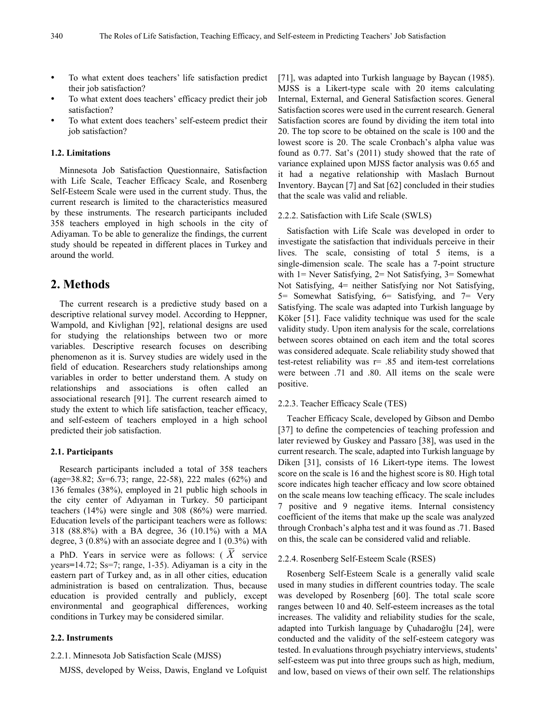- To what extent does teachers' life satisfaction predict their job satisfaction?
- To what extent does teachers' efficacy predict their job satisfaction?
- To what extent does teachers' self-esteem predict their job satisfaction?

#### **1.2. Limitations**

Minnesota Job Satisfaction Questionnaire, Satisfaction with Life Scale, Teacher Efficacy Scale, and Rosenberg Self-Esteem Scale were used in the current study. Thus, the current research is limited to the characteristics measured by these instruments. The research participants included 358 teachers employed in high schools in the city of Adiyaman. To be able to generalize the findings, the current study should be repeated in different places in Turkey and around the world.

## **2. Methods**

The current research is a predictive study based on a descriptive relational survey model. According to Heppner, Wampold, and Kivlighan [92], relational designs are used for studying the relationships between two or more variables. Descriptive research focuses on describing phenomenon as it is. Survey studies are widely used in the field of education. Researchers study relationships among variables in order to better understand them. A study on relationships and associations is often called an associational research [91]. The current research aimed to study the extent to which life satisfaction, teacher efficacy, and self-esteem of teachers employed in a high school predicted their job satisfaction.

#### **2.1. Participants**

Research participants included a total of 358 teachers (age=38.82; *Ss*=6.73; range, 22-58), 222 males (62%) and 136 females (38%), employed in 21 public high schools in the city center of Adıyaman in Turkey. 50 participant teachers (14%) were single and 308 (86%) were married. Education levels of the participant teachers were as follows: 318 (88.8%) with a BA degree, 36 (10.1%) with a MA degree, 3 (0.8%) with an associate degree and 1 (0.3%) with a PhD. Years in service were as follows: ( *X* service years**=**14.72; Ss=7; range, 1-35). Adiyaman is a city in the eastern part of Turkey and, as in all other cities, education administration is based on centralization. Thus, because education is provided centrally and publicly, except environmental and geographical differences, working conditions in Turkey may be considered similar.

#### **2.2. Instruments**

#### 2.2.1. Minnesota Job Satisfaction Scale (MJSS)

MJSS, developed by Weiss, Dawis, England ve Lofquist

[71], was adapted into Turkish language by Baycan (1985). MJSS is a Likert-type scale with 20 items calculating Internal, External, and General Satisfaction scores. General Satisfaction scores were used in the current research. General Satisfaction scores are found by dividing the item total into 20. The top score to be obtained on the scale is 100 and the lowest score is 20. The scale Cronbach's alpha value was found as 0.77. Sat's (2011) study showed that the rate of variance explained upon MJSS factor analysis was 0.65 and it had a negative relationship with Maslach Burnout Inventory. Baycan [7] and Sat [62] concluded in their studies that the scale was valid and reliable.

#### 2.2.2. Satisfaction with Life Scale (SWLS)

Satisfaction with Life Scale was developed in order to investigate the satisfaction that individuals perceive in their lives. The scale, consisting of total 5 items, is a single-dimension scale. The scale has a 7-point structure with 1 = Never Satisfying, 2 = Not Satisfying, 3 = Somewhat Not Satisfying, 4= neither Satisfying nor Not Satisfying, 5= Somewhat Satisfying, 6= Satisfying, and 7= Very Satisfying. The scale was adapted into Turkish language by Köker [51]. Face validity technique was used for the scale validity study. Upon item analysis for the scale, correlations between scores obtained on each item and the total scores was considered adequate. Scale reliability study showed that test-retest reliability was r= .85 and item-test correlations were between .71 and .80. All items on the scale were positive.

#### 2.2.3. Teacher Efficacy Scale (TES)

Teacher Efficacy Scale, developed by Gibson and Dembo [37] to define the competencies of teaching profession and later reviewed by Guskey and Passaro [38], was used in the current research. The scale, adapted into Turkish language by Diken [31], consists of 16 Likert-type items. The lowest score on the scale is 16 and the highest score is 80. High total score indicates high teacher efficacy and low score obtained on the scale means low teaching efficacy. The scale includes 7 positive and 9 negative items. Internal consistency coefficient of the items that make up the scale was analyzed through Cronbach's alpha test and it was found as .71. Based on this, the scale can be considered valid and reliable.

#### 2.2.4. Rosenberg Self-Esteem Scale (RSES)

Rosenberg Self-Esteem Scale is a generally valid scale used in many studies in different countries today. The scale was developed by Rosenberg [60]. The total scale score ranges between 10 and 40. Self-esteem increases as the total increases. The validity and reliability studies for the scale, adapted into Turkish language by Çuhadaroğlu [24], were conducted and the validity of the self-esteem category was tested. In evaluations through psychiatry interviews, students' self-esteem was put into three groups such as high, medium, and low, based on views of their own self. The relationships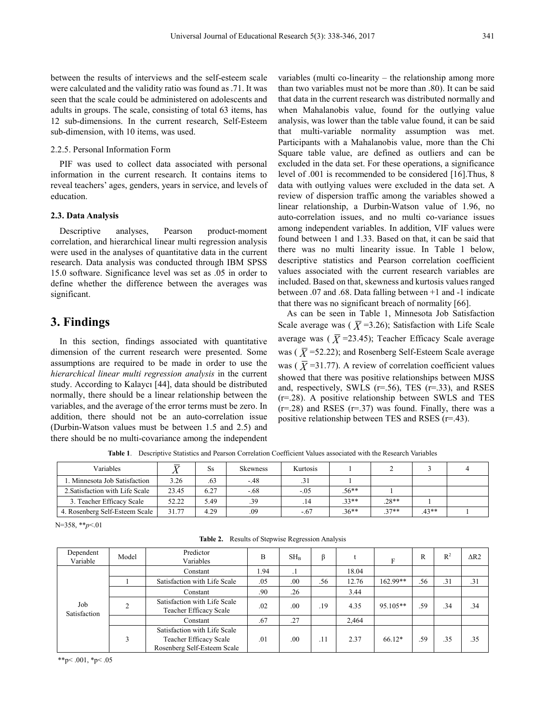between the results of interviews and the self-esteem scale were calculated and the validity ratio was found as .71. It was seen that the scale could be administered on adolescents and adults in groups. The scale, consisting of total 63 items, has 12 sub-dimensions. In the current research, Self-Esteem sub-dimension, with 10 items, was used.

#### 2.2.5. Personal Information Form

PIF was used to collect data associated with personal information in the current research. It contains items to reveal teachers' ages, genders, years in service, and levels of education.

#### **2.3. Data Analysis**

Descriptive analyses, Pearson product-moment correlation, and hierarchical linear multi regression analysis were used in the analyses of quantitative data in the current research. Data analysis was conducted through IBM SPSS 15.0 software. Significance level was set as .05 in order to define whether the difference between the averages was significant.

## **3. Findings**

In this section, findings associated with quantitative dimension of the current research were presented. Some assumptions are required to be made in order to use the *hierarchical linear multi regression analysis* in the current study. According to Kalaycı [44], data should be distributed normally, there should be a linear relationship between the variables, and the average of the error terms must be zero. In addition, there should not be an auto-correlation issue (Durbin-Watson values must be between 1.5 and 2.5) and there should be no multi-covariance among the independent

variables (multi co-linearity – the relationship among more than two variables must not be more than .80). It can be said that data in the current research was distributed normally and when Mahalanobis value, found for the outlying value analysis, was lower than the table value found, it can be said that multi-variable normality assumption was met. Participants with a Mahalanobis value, more than the Chi Square table value, are defined as outliers and can be excluded in the data set. For these operations, a significance level of .001 is recommended to be considered [16].Thus, 8 data with outlying values were excluded in the data set. A review of dispersion traffic among the variables showed a linear relationship, a Durbin-Watson value of 1.96, no auto-correlation issues, and no multi co-variance issues among independent variables. In addition, VIF values were found between 1 and 1.33. Based on that, it can be said that there was no multi linearity issue. In Table 1 below, descriptive statistics and Pearson correlation coefficient values associated with the current research variables are included. Based on that, skewness and kurtosis values ranged between .07 and .68. Data falling between +1 and -1 indicate that there was no significant breach of normality [66].

As can be seen in Table 1, Minnesota Job Satisfaction Scale average was ( $\overline{X}$ =3.26); Satisfaction with Life Scale average was ( $\overline{X}$ =23.45); Teacher Efficacy Scale average was ( $\overline{X}$ =52.22); and Rosenberg Self-Esteem Scale average was ( $\overline{X}$ =31.77). A review of correlation coefficient values showed that there was positive relationships between MJSS and, respectively, SWLS  $(r=.56)$ , TES  $(r=.33)$ , and RSES (r=.28). A positive relationship between SWLS and TES  $(r=.28)$  and RSES  $(r=.37)$  was found. Finally, there was a positive relationship between TES and RSES (r=.43).

**Table 1**. Descriptive Statistics and Pearson Correlation Coefficient Values associated with the Research Variables

| Variables                       |       | Ss   | <b>Skewness</b> | Kurtosis |         |         |         |  |
|---------------------------------|-------|------|-----------------|----------|---------|---------|---------|--|
| 1. Minnesota Job Satisfaction   | 3.26  | .63  | $-48$           |          |         |         |         |  |
| 2. Satisfaction with Life Scale | 23.45 | 6.27 | $-.68$          | $-.05$   | $.56**$ |         |         |  |
| 3. Teacher Efficacy Scale       | 52.22 | 5.49 | .39             |          | $.33**$ | $.28**$ |         |  |
| 4. Rosenberg Self-Esteem Scale  | 31.77 | 4.29 | .09             | $-.67$   | $.36**$ | $37**$  | $.43**$ |  |

N=358, \*\**p*<.01

|  |  |  | Table 2. Results of Stepwise Regression Analysis |  |
|--|--|--|--------------------------------------------------|--|
|--|--|--|--------------------------------------------------|--|

| Dependent<br>Variable | Model | Predictor<br>Variables                                                                | B    | SH <sub>B</sub> | β   |       | F          | R   | $R^2$ | $\triangle R2$ |
|-----------------------|-------|---------------------------------------------------------------------------------------|------|-----------------|-----|-------|------------|-----|-------|----------------|
|                       |       | Constant                                                                              | . 94 | . .             |     | 18.04 |            |     |       |                |
|                       |       | Satisfaction with Life Scale                                                          | .05  | .00             | .56 | 12.76 | $162.99**$ | .56 | .31   | .31            |
|                       |       | Constant                                                                              | .90  | .26             |     | 3.44  |            |     |       |                |
| Job<br>Satisfaction   | ↑     | Satisfaction with Life Scale<br>Teacher Efficacy Scale                                | .02  | .00             | .19 | 4.35  | 95.105**   | .59 | .34   | .34            |
|                       |       | Constant                                                                              | .67  | .27             |     | 2,464 |            |     |       |                |
|                       | 3     | Satisfaction with Life Scale<br>Teacher Efficacy Scale<br>Rosenberg Self-Esteem Scale | .01  | .00             | .11 | 2.37  | $66.12*$   | .59 | .35   | .35            |

\*\*p<.001, \*p<.05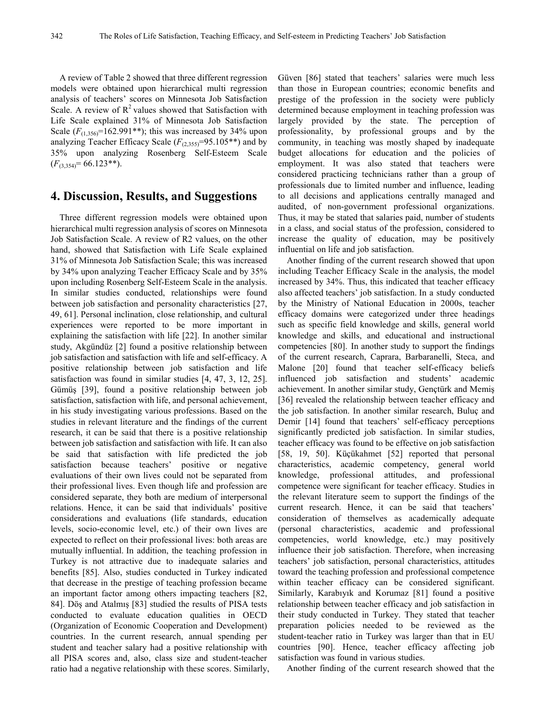A review of Table 2 showed that three different regression models were obtained upon hierarchical multi regression analysis of teachers' scores on Minnesota Job Satisfaction Scale. A review of  $R^2$  values showed that Satisfaction with Life Scale explained 31% of Minnesota Job Satisfaction Scale  $(F_{(1,356)}=162.991**)$ ; this was increased by 34% upon analyzing Teacher Efficacy Scale  $(F_{(2,355)}=95.105**)$  and by 35% upon analyzing Rosenberg Self-Esteem Scale  $(F_{(3,354)}= 66.123**).$ 

## **4. Discussion, Results, and Suggestions**

Three different regression models were obtained upon hierarchical multi regression analysis of scores on Minnesota Job Satisfaction Scale. A review of R2 values, on the other hand, showed that Satisfaction with Life Scale explained 31% of Minnesota Job Satisfaction Scale; this was increased by 34% upon analyzing Teacher Efficacy Scale and by 35% upon including Rosenberg Self-Esteem Scale in the analysis. In similar studies conducted, relationships were found between job satisfaction and personality characteristics [27, 49, 61]. Personal inclination, close relationship, and cultural experiences were reported to be more important in explaining the satisfaction with life [22]. In another similar study, Akgündüz [2] found a positive relationship between job satisfaction and satisfaction with life and self-efficacy. A positive relationship between job satisfaction and life satisfaction was found in similar studies [4, 47, 3, 12, 25]. Gümüş [39], found a positive relationship between job satisfaction, satisfaction with life, and personal achievement, in his study investigating various professions. Based on the studies in relevant literature and the findings of the current research, it can be said that there is a positive relationship between job satisfaction and satisfaction with life. It can also be said that satisfaction with life predicted the job satisfaction because teachers' positive or negative evaluations of their own lives could not be separated from their professional lives. Even though life and profession are considered separate, they both are medium of interpersonal relations. Hence, it can be said that individuals' positive considerations and evaluations (life standards, education levels, socio-economic level, etc.) of their own lives are expected to reflect on their professional lives: both areas are mutually influential. In addition, the teaching profession in Turkey is not attractive due to inadequate salaries and benefits [85]. Also, studies conducted in Turkey indicated that decrease in the prestige of teaching profession became an important factor among others impacting teachers [82, 84]. Döş and Atalmış [83] studied the results of PISA tests conducted to evaluate education qualities in OECD (Organization of Economic Cooperation and Development) countries. In the current research, annual spending per student and teacher salary had a positive relationship with all PISA scores and, also, class size and student-teacher ratio had a negative relationship with these scores. Similarly, Güven [86] stated that teachers' salaries were much less than those in European countries; economic benefits and prestige of the profession in the society were publicly determined because employment in teaching profession was largely provided by the state. The perception of professionality, by professional groups and by the community, in teaching was mostly shaped by inadequate budget allocations for education and the policies of employment. It was also stated that teachers were considered practicing technicians rather than a group of professionals due to limited number and influence, leading to all decisions and applications centrally managed and audited, of non-government professional organizations. Thus, it may be stated that salaries paid, number of students in a class, and social status of the profession, considered to increase the quality of education, may be positively influential on life and job satisfaction.

Another finding of the current research showed that upon including Teacher Efficacy Scale in the analysis, the model increased by 34%. Thus, this indicated that teacher efficacy also affected teachers' job satisfaction. In a study conducted by the Ministry of National Education in 2000s, teacher efficacy domains were categorized under three headings such as specific field knowledge and skills, general world knowledge and skills, and educational and instructional competencies [80]. In another study to support the findings of the current research, Caprara, Barbaranelli, Steca, and Malone [20] found that teacher self-efficacy beliefs influenced job satisfaction and students' academic achievement. In another similar study, Gençtürk and Memiş [36] revealed the relationship between teacher efficacy and the job satisfaction. In another similar research, Buluç and Demir [14] found that teachers' self-efficacy perceptions significantly predicted job satisfaction. In similar studies, teacher efficacy was found to be effective on job satisfaction [58, 19, 50]. Küçükahmet [52] reported that personal characteristics, academic competency, general world knowledge, professional attitudes, and professional competence were significant for teacher efficacy. Studies in the relevant literature seem to support the findings of the current research. Hence, it can be said that teachers' consideration of themselves as academically adequate (personal characteristics, academic and professional competencies, world knowledge, etc.) may positively influence their job satisfaction. Therefore, when increasing teachers' job satisfaction, personal characteristics, attitudes toward the teaching profession and professional competence within teacher efficacy can be considered significant. Similarly, Karabıyık and Korumaz [81] found a positive relationship between teacher efficacy and job satisfaction in their study conducted in Turkey. They stated that teacher preparation policies needed to be reviewed as the student-teacher ratio in Turkey was larger than that in EU countries [90]. Hence, teacher efficacy affecting job satisfaction was found in various studies.

Another finding of the current research showed that the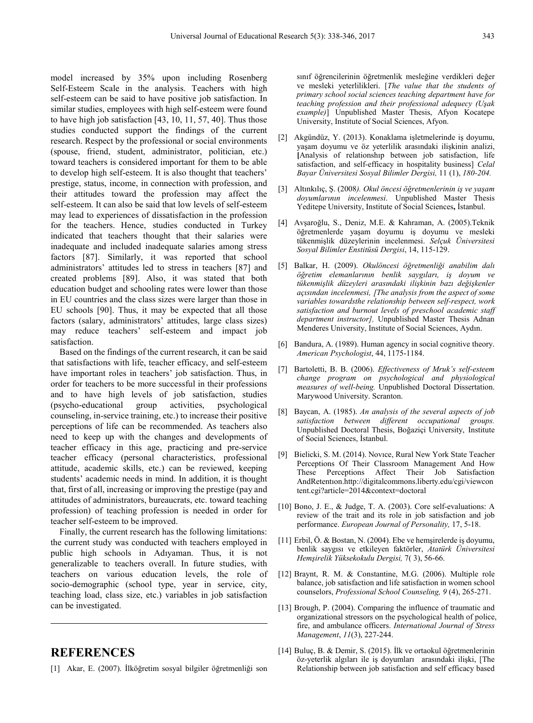model increased by 35% upon including Rosenberg Self-Esteem Scale in the analysis. Teachers with high self-esteem can be said to have positive job satisfaction. In similar studies, employees with high self-esteem were found to have high job satisfaction [43, 10, 11, 57, 40]. Thus those studies conducted support the findings of the current research. Respect by the professional or social environments (spouse, friend, student, administrator, politician, etc.) toward teachers is considered important for them to be able to develop high self-esteem. It is also thought that teachers' prestige, status, income, in connection with profession, and their attitudes toward the profession may affect the self-esteem. It can also be said that low levels of self-esteem may lead to experiences of dissatisfaction in the profession for the teachers. Hence, studies conducted in Turkey indicated that teachers thought that their salaries were inadequate and included inadequate salaries among stress factors [87]. Similarly, it was reported that school administrators' attitudes led to stress in teachers [87] and created problems [89]. Also, it was stated that both education budget and schooling rates were lower than those in EU countries and the class sizes were larger than those in EU schools [90]. Thus, it may be expected that all those factors (salary, administrators' attitudes, large class sizes) may reduce teachers' self-esteem and impact job satisfaction.

Based on the findings of the current research, it can be said that satisfactions with life, teacher efficacy, and self-esteem have important roles in teachers' job satisfaction. Thus, in order for teachers to be more successful in their professions and to have high levels of job satisfaction, studies (psycho-educational group activities, psychological counseling, in-service training, etc.) to increase their positive perceptions of life can be recommended. As teachers also need to keep up with the changes and developments of teacher efficacy in this age, practicing and pre-service teacher efficacy (personal characteristics, professional attitude, academic skills, etc.) can be reviewed, keeping students' academic needs in mind. In addition, it is thought that, first of all, increasing or improving the prestige (pay and attitudes of administrators, bureaucrats, etc. toward teaching profession) of teaching profession is needed in order for teacher self-esteem to be improved.

Finally, the current research has the following limitations: the current study was conducted with teachers employed in public high schools in Adıyaman. Thus, it is not generalizable to teachers overall. In future studies, with teachers on various education levels, the role of socio-demographic (school type, year in service, city, teaching load, class size, etc.) variables in job satisfaction can be investigated.

# **REFERENCES**

[1] Akar, E. (2007). İlköğretim sosyal bilgiler öğretmenliği son

sınıf öğrencilerinin öğretmenlik mesleğine verdikleri değer ve mesleki yeterlilikleri. [*The value that the students of primary school social sciences teaching department have for teaching profession and their professional adequecy (Uşak example)*] Unpublished Master Thesis, Afyon Kocatepe University, Institute of Social Sciences, Afyon.

- [2] Akgündüz, Y. (2013). Konaklama işletmelerinde iş doyumu, yaşam doyumu ve öz yeterlilik arasındaki ilişkinin analizi, **[**Analysis of relationshıp between job satisfaction, life satisfaction, and self-efficacy in hospitality business] *Celal Bayar Üniversitesi Sosyal Bilimler Dergisi,* 11 (1), *180-204.*
- [3] Altınkılıç, Ş. (2008*). Okul öncesi öğretmenlerinin iş ve yaşam doyumlarının incelenmesi*. Unpublished Master Thesis Yeditepe University, Institute of Social Sciences**,** İstanbul.
- [4] Avşaroğlu, S., Deniz, M.E. & Kahraman, A. (2005).Teknik öğretmenlerde yaşam doyumu iş doyumu ve mesleki tükenmişlik düzeylerinin incelenmesi. *Selçuk Üniversitesi Sosyal Bilimler Enstitüsü Dergisi*, 14, 115-129.
- [5] Balkar, H. (2009). *Okulöncesi öğretmenliği anabilim dalı öğretim elemanlarının benlik saygıları, iş doyum ve tükenmişlik düzeyleri arasındaki ilişkinin bazı değişkenler açısından incelenmesi, [The analysis from the aspect of some variables towardsthe relationship between self-respect, work satisfaction and burnout levels of preschool academic staff department instructor],* Unpublished Master Thesis Adnan Menderes University, Institute of Social Sciences, Aydın.
- [6] Bandura, A. (1989). Human agency in social cognitive theory. *American Psychologist*, 44, 1175-1184.
- [7] Bartoletti, B. B. (2006). *Effectiveness of Mruk's self-esteem change program on psychological and physiological measures of well-being.* Unpublished Doctoral Dissertation. Marywood University. Scranton.
- [8] Baycan, A. (1985). *An analysis of the several aspects of job satisfaction between different occupational groups.*  Unpublished Doctoral Thesis, Boğaziçi University, Institute of Social Sciences, İstanbul.
- [9] Bielicki, S. M. (2014). Novıce, Rural New York State Teacher Perceptions Of Their Classroom Management And How These Perceptions Affect Their Job Satisfaction AndRetentıon.http://digitalcommons.liberty.edu/cgi/viewcon tent.cgi?article=2014&context=doctoral
- [10] Bono, J. E., & Judge, T. A. (2003). Core self-evaluations: A review of the trait and its role in job satisfaction and job performance. *European Journal of Personality,* 17, 5-18.
- [11] Erbil, Ö. & Bostan, N. (2004). Ebe ve hemşirelerde iş doyumu, benlik saygısı ve etkileyen faktörler, *Atatürk Üniversitesi Hemşirelik Yüksekokulu Dergisi,* 7( 3), 56-66.
- [12] Braynt, R. M. & Constantine, M.G. (2006). Multiple role balance, job satisfaction and life satisfaction in women school counselors, *Professional School Counseling, 9* (4), 265-271.
- [13] Brough, P. (2004). Comparing the influence of traumatic and organizational stressors on the psychological health of police, fire, and ambulance officers. *International Journal of Stress Management*, *11*(3), 227-244.
- [14] Buluç, B. & Demir, S. (2015). İlk ve ortaokul öğretmenlerinin öz-yeterlik algıları ile iş doyumları arasındaki ilişki, [The Relationship between job satisfaction and self efficacy based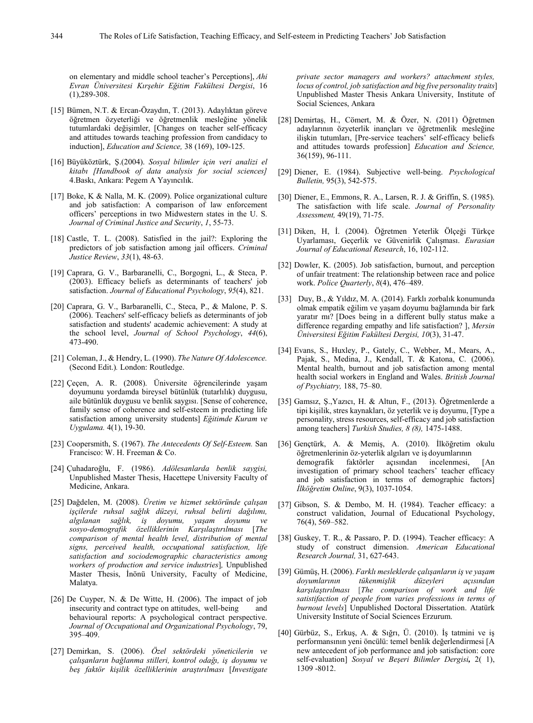on elementary and middle school teacher's Perceptions], *Ahi Evran Üniversitesi Kırşehir Eğitim Fakültesi Dergisi*, 16 (1),289-308.

- [15] Bümen, N.T. & Ercan-Özaydın, T. (2013). Adaylıktan göreve öğretmen özyeterliği ve öğretmenlik mesleğine yönelik tutumlardaki değişimler, [Changes on teacher self-efficacy and attitudes towards teaching profession from candidacy to induction], *Education and Science,* 38 (169), 109-125.
- [16] Büyüköztürk, Ş.(2004). *Sosyal bilimler için veri analizi el kitabı [Handbook of data analysis for social sciences]*  4.Baskı, Ankara: Pegem A Yayıncılık.
- [17] Boke, K & Nalla, M. K. (2009). Police organizational culture and job satisfaction: A comparison of law enforcement officers' perceptions in two Midwestern states in the U. S. *Journal of Criminal Justice and Security*, *1*, 55-73.
- [18] Castle, T. L. (2008). Satisfied in the jail?: Exploring the predictors of job satisfaction among jail officers. *Criminal Justice Review*, *33*(1), 48-63.
- [19] Caprara, G. V., Barbaranelli, C., Borgogni, L., & Steca, P. (2003). Efficacy beliefs as determinants of teachers' job satisfaction. *Journal of Educational Psychology*, *95*(4), 821.
- [20] Caprara, G. V., Barbaranelli, C., Steca, P., & Malone, P. S. (2006). Teachers' self-efficacy beliefs as determinants of job satisfaction and students' academic achievement: A study at the school level, *Journal of School Psychology*, *44*(6), 473-490.
- [21] Coleman, J., & Hendry, L. (1990). *The Nature Of Adolescence.*  (Second Edit.)*.* London: Routledge.
- [22] Çeçen, A. R. (2008). Üniversite öğrencilerinde yaşam doyumunu yordamda bireysel bütünlük (tutarlılık) duygusu, aile bütünlük duygusu ve benlik saygısı. [Sense of coherence, family sense of coherence and self-esteem in predicting life satisfaction among university students] *Eğitimde Kuram ve Uygulama.* 4(1), 19-30.
- [23] Coopersmith, S. (1967). *The Antecedents Of Self-Esteem.* San Francisco: W. H. Freeman & Co.
- [24] Çuhadaroğlu, F. (1986). *Adölesanlarda benlik saygisi,* Unpublished Master Thesis, Hacettepe University Faculty of Medicine, Ankara.
- [25] Dağdelen, M. (2008). *Üretim ve hizmet sektöründe çalışan işçilerde ruhsal sağlık düzeyi, ruhsal belirti dağılımı, algılanan sağlık, iş doyumu, yaşam doyumu ve sosyo-demografik özelliklerinin Karşılaştırılması* [*The comparison of mental health level, distribution of mental signs, perceived health, occupational satisfaction, life satisfaction and sociodemographic characteristics among workers of production and service industries*]*,* Unpublished Master Thesis, İnönü University, Faculty of Medicine, Malatya.
- [26] De Cuyper, N. & De Witte, H. (2006). The impact of job insecurity and contract type on attitudes, well-being and behavioural reports: A psychological contract perspective. *Journal of Occupational and Organizational Psychology*, 79, 395–409.
- [27] Demirkan, S. (2006). *Özel sektördeki yöneticilerin ve çalışanların bağlanma stilleri, kontrol odağı, iş doyumu ve beş faktör kişilik özelliklerinin araştırılması* [*Investigate*

*private sector managers and workers? attachment styles, locus of control, job satisfaction and big five personality traits*] Unpublished Master Thesis Ankara University, Institute of Social Sciences, Ankara

- [28] Demirtaş, H., Cömert, M. & Özer, N. (2011) Öğretmen adaylarının özyeterlik inançları ve öğretmenlik mesleğine ilişkin tutumları, [Pre-service teachers' self-efficacy beliefs and attitudes towards profession] *Education and Science,* 36(159), 96-111.
- [29] Diener, E. (1984). Subjective well-being. *Psychological Bulletin,* 95(3), 542-575.
- [30] Diener, E., Emmons, R. A., Larsen, R. J. & Griffin, S. (1985). The satisfaction with life scale. *Journal of Personality Assessment,* 49(19), 71-75.
- [31] Diken, H, İ. (2004). Öğretmen Yeterlik Ölçeği Türkçe Uyarlaması, Geçerlik ve Güvenirlik Çalışması. *Eurasian Journal of Educational Research*, 16, 102-112.
- [32] Dowler, K. (2005). Job satisfaction, burnout, and perception of unfair treatment: The relationship between race and police work. *Police Quarterly*, *8*(4), 476–489.
- [33] Duy, B., & Yıldız, M. A. (2014). Farklı zorbalık konumunda olmak empatik eğilim ve yaşam doyumu bağlamında bir fark yaratır mı? [Does being in a different bully status make a difference regarding empathy and life satisfaction? ], *Mersin Üniversitesi Eğitim Fakültesi Dergisi, 10*(3), 31-47.
- [34] Evans, S., Huxley, P., Gately, C., Webber, M., Mears, A., Pajak, S., Medina, J., Kendall, T. & Katona, C. (2006). Mental health, burnout and job satisfaction among mental health social workers in England and Wales. *British Journal of Psychiatry,* 188, 75–80.
- [35] Gamsız, Ş.,Yazıcı, H. & Altun, F., (2013). Öğretmenlerde a tipi kişilik, stres kaynakları, öz yeterlik ve iş doyumu, [Type a personality, stress resources, self-efficacy and job satisfaction among teachers] *Turkish Studies, 8 (8),* 1475-1488.
- [36] Gençtürk, A. & Memiş, A. (2010). İlköğretim okulu öğretmenlerinin öz-yeterlik algıları ve iş doyumlarının demografik faktörler açısından incelenmesi, [An investigation of primary school teachers' teacher efficacy and job satisfaction in terms of demographic factors] *İlköğretim Online*, 9(3), 1037-1054.
- [37] Gibson, S. & Dembo, M. H. (1984). Teacher efficacy: a construct validation, Journal of Educational Psychology, 76(4), 569–582.
- [38] Guskey, T. R., & Passaro, P. D. (1994). Teacher efficacy: A study of construct dimension. *American Educational Research Journal,* 31, 627-643.
- [39] Gümüş, H. (2006). *Farklı mesleklerde çalışanların iş ve yaşam doyumlarının tükenmişlik düzeyleri açısından karşılaştırılması* [*The comparison of work and life satistifaction of people from varies professions in terms of burnout levels*] Unpublished Doctoral Dissertation. Atatürk University Institute of Social Sciences Erzurum.
- [40] Gürbüz, S., Erkuş, A. & Sığrı, Ü. (2010). İş tatmini ve iş performansının yeni öncülü: temel benlik değerlendirmesi [A new antecedent of job performance and job satisfaction: core self-evaluation] *Sosyal ve Beşeri Bilimler Dergisi,* 2( 1), 1309 -8012.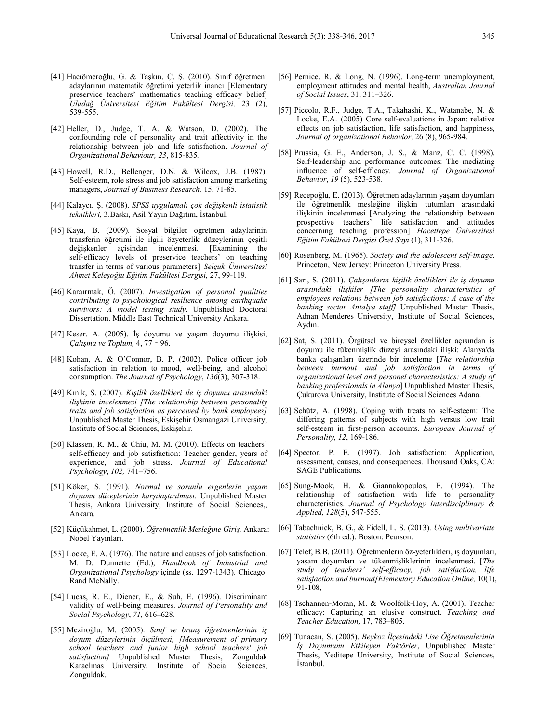- [41] Hacıömeroğlu, G. & Taşkın, Ç. Ş. (2010). Sınıf öğretmeni adaylarının matematik öğretimi yeterlik inancı [Elementary preservice teachers' mathematics teaching efficacy belief] *Uludağ Üniversitesi Eğitim Fakültesi Dergisi,* 23 (2), 539-555.
- [42] Heller, D., Judge, T. A. & Watson, D. (2002). The confounding role of personality and trait affectivity in the relationship between job and life satisfaction. *Journal of Organizational Behaviour, 23*, 815-835*.*
- [43] Howell, R.D., Bellenger, D.N. & Wilcox, J.B. (1987). Self-esteem, role stress and job satisfaction among marketing managers, *Journal of Business Research,* 15, 71-85.
- [44] Kalaycı, Ş. (2008). *SPSS uygulamalı çok değişkenli istatistik teknikleri,* 3.Baskı, Asil Yayın Dağıtım, İstanbul.
- [45] Kaya, B. (2009). Sosyal bilgiler öğretmen adaylarinin transferin öğretimi ile ilgili özyeterlik düzeylerinin çeşitli değişkenler açisindan incelenmesi. [Examining the self-efficacy levels of preservice teachers' on teaching transfer in terms of various parameters] *Selçuk Üniversitesi Ahmet Keleşoğlu Eğitim Fakültesi Dergisi,* 27, 99-119.
- [46] Karaırmak, Ö. (2007). *Investigation of personal qualities contributing to psychological resilience among earthquake survivors: A model testing study.* Unpublished Doctoral Dissertation. Middle East Technical University Ankara.
- [47] Keser. A. (2005). İş doyumu ve yaşam doyumu ilişkisi, *Çalışma ve Toplum,* 4, 77‐96.
- [48] Kohan, A. & O'Connor, B. P. (2002). Police officer job satisfaction in relation to mood, well-being, and alcohol consumption. *The Journal of Psychology*, *136*(3), 307-318.
- [49] Kınık, S. (2007). *Kişilik özellikleri ile iş doyumu arasındaki ilişkinin incelenmesi [The relationship between personality traits and job satisfaction as perceived by bank employees]*  Unpublished Master Thesis, Eskişehir Osmangazi University, Institute of Social Sciences, Eskişehir.
- [50] Klassen, R. M., & Chiu, M. M. (2010). Effects on teachers' self-efficacy and job satisfaction: Teacher gender, years of experience, and job stress. *Journal of Educational Psychology*, *102,* 741–756.
- [51] Köker, S. (1991). *Normal ve sorunlu ergenlerin yaşam doyumu düzeylerinin karşılaştırılması*. Unpublished Master Thesis, Ankara University, Institute of Social Sciences,, Ankara.
- [52] Küçükahmet, L. (2000). *Öğretmenlik Mesleğine Giriş.* Ankara: Nobel Yayınları.
- [53] Locke, E. A. (1976). The nature and causes of job satisfaction. M. D. Dunnette (Ed.), *Handbook of Industrial and Organizational Psychology* içinde (ss. 1297-1343). Chicago: Rand McNally.
- [54] Lucas, R. E., Diener, E., & Suh, E. (1996). Discriminant validity of well-being measures. *Journal of Personality and Social Psychology*, *71,* 616–628.
- [55] Meziroğlu, M. (2005). *Sınıf ve branş öğretmenlerinin iş doyum düzeylerinin ölçülmesi, [Measurement of primary school teachers and junior high school teachers' job satisfaction]* Unpublished Master Thesis, Zonguldak Karaelmas University, Institute of Social Sciences, Zonguldak.
- [56] Pernice, R. & Long, N. (1996). Long-term unemployment, employment attitudes and mental health, *Australian Journal of Social Issues*, 31, 311–326.
- [57] Piccolo, R.F., Judge, T.A., Takahashi, K., Watanabe, N. & Locke, E.A. (2005) Core self-evaluations in Japan: relative effects on job satisfaction, life satisfaction, and happiness, *Journal of organizational Behavior,* 26 (8), 965-984.
- [58] Prussia, G. E., Anderson, J. S., & Manz, C. C. (1998). Self-leadership and performance outcomes: The mediating influence of self-efficacy. *Journal of Organizational Behavior*, *19* (5), 523-538.
- [59] Recepoğlu, E. (2013). Öğretmen adaylarının yaşam doyumları ile öğretmenlik mesleğine ilişkin tutumları arasındaki ilişkinin incelenmesi [Analyzing the relationship between prospective teachers' life satisfaction and attitudes concerning teaching profession] *Hacettepe Üniversitesi Eğitim Fakültesi Dergisi Özel Sayı* (1), 311-326.
- [60] Rosenberg, M. (1965). *Society and the adolescent self-image*. Princeton, New Jersey: Princeton University Press.
- [61] Sarı, S. (2011). *Çalışanların kişilik özellikleri ile iş doyumu arasındaki ilişkiler [The personality characteristics of employees relations between job satisfactions: A case of the banking sector Antalya staff]* Unpublished Master Thesis, Adnan Menderes University, Institute of Social Sciences, Aydın.
- [62] Sat, S. (2011). Örgütsel ve bireysel özellikler açısından iş doyumu ile tükenmişlik düzeyi arasındaki ilişki: Alanya'da banka çalışanları üzerinde bir inceleme [*The relationship between burnout and job satisfaction in terms of organizational level and personel characteristics: A study of banking professionals in Alanya*] Unpublished Master Thesis, Çukurova University, Institute of Social Sciences Adana.
- [63] Schütz, A. (1998). Coping with treats to self-esteem: The differing patterns of subjects with high versus low trait self-esteem in first-person accounts. *European Journal of Personality, 12*, 169-186.
- [64] Spector, P. E. (1997). Job satisfaction: Application, assessment, causes, and consequences. Thousand Oaks, CA: SAGE Publications.
- [65] Sung-Mook, H. & Giannakopoulos, E. (1994). The relationship of satisfaction with life to personality characteristics. *Journal of Psychology Interdisciplinary & Applied, 128*(5), 547-555.
- [66] Tabachnick, B. G., & Fidell, L. S. (2013). *Using multivariate statistics* (6th ed.). Boston: Pearson.
- [67] Telef, B.B. (2011). Öğretmenlerin öz-yeterlikleri, iş doyumları, yaşam doyumları ve tükenmişliklerinin incelenmesi. [*The study of teachers' self-efficacy, job satisfaction, life satisfaction and burnout]Elementary Education Online,* 10(1), 91-108,
- [68] Tschannen-Moran, M. & Woolfolk-Hoy, A. (2001). Teacher efficacy: Capturing an elusive construct. *Teaching and Teacher Education,* 17, 783–805.
- [69] Tunacan, S. (2005). *Beykoz İlçesindeki Lise Öğretmenlerinin İş Doyumunu Etkileyen Faktörler*, Unpublished Master Thesis, Yeditepe University, Institute of Social Sciences, İstanbul.